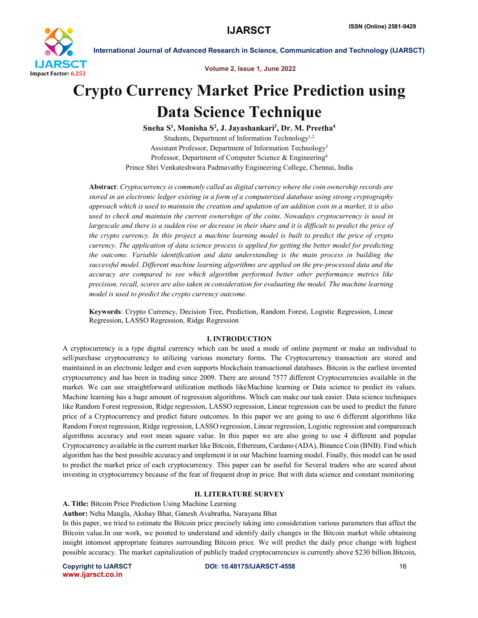

Volume 2, Issue 1, June 2022

# Crypto Currency Market Price Prediction using Data Science Technique

Sneha S<sup>1</sup>, Monisha S<sup>2</sup>, J. Jayashankari<sup>3</sup>, Dr. M. Preetha<sup>4</sup> Students, Department of Information Technology<sup>1,2</sup> Assistant Professor, Department of Information Technology3 Professor, Department of Computer Science & Engineering<sup>4</sup> Prince Shri Venkateshwara Padmavathy Engineering College, Chennai, India

Abstract: *Cryptocurrency is commonly called as digital currency where the coin ownership records are stored in an electronic ledger existing in a form of a computerized database using strong cryptography approach which is used to maintain the creation and updation of an addition coin in a market, it is also used to check and maintain the current ownerships of the coins. Nowadays cryptocurrency is used in*  largescale and there is a sudden rise or decrease in their share and it is difficult to predict the price of *the crypto currency. In this project a machine learning model is built to predict the price of crypto currency. The application of data science process is applied for getting the better model for predicting the outcome. Variable identification and data understanding is the main process in building the successful model. Different machine learning algorithms are applied on the pre-processed data and the accuracy are compared to see which algorithm performed better other performance metrics like precision, recall, scores are also taken in consideration for evaluating the model. The machine learning model is used to predict the crypto currency outcome.*

Keywords: Crypto Currency, Decision Tree, Prediction, Random Forest, Logistic Regression, Linear Regression, LASSO Regression, Ridge Regression

# I. INTRODUCTION

A cryptocurrency is a type digital currency which can be used a mode of online payment or make an individual to sell/purchase cryptocurrency to utilizing various monetary forms. The Cryptocurrency transaction are stored and maintained in an electronic ledger and even supports blockchain transactional databases. Bitcoin is the earliest invented cryptocurrency and has been in trading since 2009. There are around 7577 different Cryptocurrencies available in the market. We can use straightforward utilization methods likeMachine learning or Data science to predict its values. Machine learning has a huge amount of regression algorithms. Which can make our task easier. Data science techniques like Random Forest regression, Ridge regression, LASSO regression, Linear regression can be used to predict the future price of a Cryptocurrency and predict future outcomes. In this paper we are going to use 6 different algorithms like Random Forest regression, Ridge regression, LASSO regression, Linear regression, Logistic regression and compareeach algorithms accuracy and root mean square value. In this paper we are also going to use 4 different and popular Cryptocurrency available in the current marker like Bitcoin, Ethereum, Cardano (ADA), Binance Coin (BNB). Find which algorithm has the best possible accuracy and implement it in our Machine learning model. Finally, this model can be used to predict the market price of each cryptocurrency. This paper can be useful for Several traders who are scared about investing in cryptocurrency because of the fear of frequent drop in price. But with data science and constant monitoring

### II. LITERATURE SURVEY

A. Title: Bitcoin Price Prediction Using Machine Learning

Author: Neha Mangla, Akshay Bhat, Ganesh Avabratha, Narayana Bhat

In this paper, we tried to estimate the Bitcoin price precisely taking into consideration various parameters that affect the Bitcoin value.In our work, we pointed to understand and identify daily changes in the Bitcoin market while obtaining insight intomost appropriate features surrounding Bitcoin price. We will predict the daily price change with highest possible accuracy. The market capitalization of publicly traded cryptocurrencies is currently above \$230 billion.Bitcoin,

www.ijarsct.co.in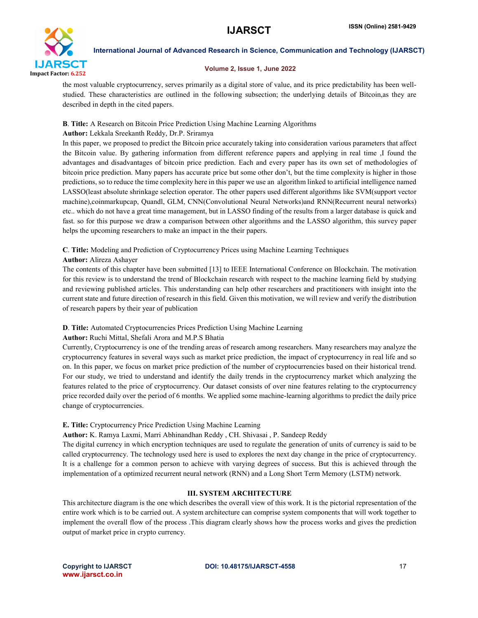

### Volume 2, Issue 1, June 2022

the most valuable cryptocurrency, serves primarily as a digital store of value, and its price predictability has been wellstudied. These characteristics are outlined in the following subsection; the underlying details of Bitcoin,as they are described in depth in the cited papers.

# B. Title: A Research on Bitcoin Price Prediction Using Machine Learning Algorithms

# Author: Lekkala Sreekanth Reddy, Dr.P. Sriramya

In this paper, we proposed to predict the Bitcoin price accurately taking into consideration various parameters that affect the Bitcoin value. By gathering information from different reference papers and applying in real time ,I found the advantages and disadvantages of bitcoin price prediction. Each and every paper has its own set of methodologies of bitcoin price prediction. Many papers has accurate price but some other don't, but the time complexity is higher in those predictions, so to reduce the time complexity here in this paper we use an algorithm linked to artificial intelligence named LASSO(least absolute shrinkage selection operator. The other papers used different algorithms like SVM(support vector machine),coinmarkupcap, Quandl, GLM, CNN(Convolutional Neural Networks)and RNN(Recurrent neural networks) etc.. which do not have a great time management, but in LASSO finding of the results from a larger database is quick and fast. so for this purpose we draw a comparison between other algorithms and the LASSO algorithm, this survey paper helps the upcoming researchers to make an impact in the their papers.

# C. Title: Modeling and Prediction of Cryptocurrency Prices using Machine Learning Techniques

## Author: Alireza Ashayer

The contents of this chapter have been submitted [13] to IEEE International Conference on Blockchain. The motivation for this review is to understand the trend of Blockchain research with respect to the machine learning field by studying and reviewing published articles. This understanding can help other researchers and practitioners with insight into the current state and future direction of research in this field. Given this motivation, we will review and verify the distribution of research papers by their year of publication

# D. Title: Automated Cryptocurrencies Prices Prediction Using Machine Learning

# Author: Ruchi Mittal, Shefali Arora and M.P.S Bhatia

Currently, Cryptocurrency is one of the trending areas of research among researchers. Many researchers may analyze the cryptocurrency features in several ways such as market price prediction, the impact of cryptocurrency in real life and so on. In this paper, we focus on market price prediction of the number of cryptocurrencies based on their historical trend. For our study, we tried to understand and identify the daily trends in the cryptocurrency market which analyzing the features related to the price of cryptocurrency. Our dataset consists of over nine features relating to the cryptocurrency price recorded daily over the period of 6 months. We applied some machine-learning algorithms to predict the daily price change of cryptocurrencies.

# E. Title: Cryptocurrency Price Prediction Using Machine Learning

Author: K. Ramya Laxmi, Marri Abhinandhan Reddy , CH. Shivasai , P. Sandeep Reddy

The digital currency in which encryption techniques are used to regulate the generation of units of currency is said to be called cryptocurrency. The technology used here is used to explores the next day change in the price of cryptocurrency. It is a challenge for a common person to achieve with varying degrees of success. But this is achieved through the implementation of a optimized recurrent neural network (RNN) and a Long Short Term Memory (LSTM) network.

# III. SYSTEM ARCHITECTURE

This architecture diagram is the one which describes the overall view of this work. It is the pictorial representation of the entire work which is to be carried out. A system architecture can comprise system components that will work together to implement the overall flow of the process .This diagram clearly shows how the process works and gives the prediction output of market price in crypto currency.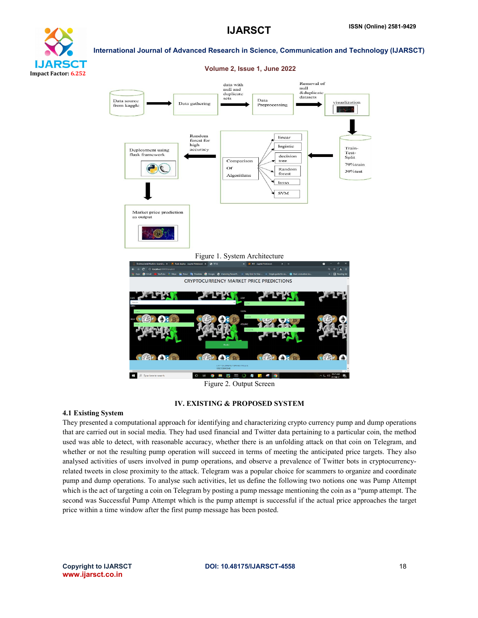# **ARS** CT Impact Factor: 6.252

# International Journal of Advanced Research in Science, Communication and Technology (IJARSCT)



# Figure 2. Output Screen

#### IV. EXISTING & PROPOSED SYSTEM

#### 4.1 Existing System

They presented a computational approach for identifying and characterizing crypto currency pump and dump operations that are carried out in social media. They had used financial and Twitter data pertaining to a particular coin, the method used was able to detect, with reasonable accuracy, whether there is an unfolding attack on that coin on Telegram, and whether or not the resulting pump operation will succeed in terms of meeting the anticipated price targets. They also analysed activities of users involved in pump operations, and observe a prevalence of Twitter bots in cryptocurrencyrelated tweets in close proximity to the attack. Telegram was a popular choice for scammers to organize and coordinate pump and dump operations. To analyse such activities, let us define the following two notions one was Pump Attempt which is the act of targeting a coin on Telegram by posting a pump message mentioning the coin as a "pump attempt. The second was Successful Pump Attempt which is the pump attempt is successful if the actual price approaches the target price within a time window after the first pump message has been posted.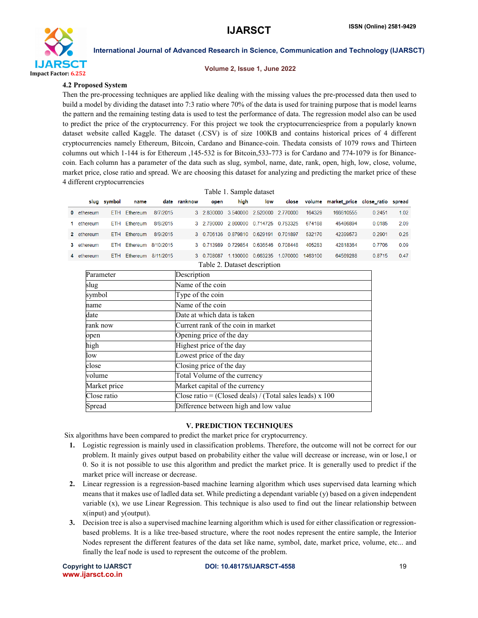

#### Volume 2, Issue 1, June 2022

#### 4.2 Proposed System

Then the pre-processing techniques are applied like dealing with the missing values the pre-processed data then used to build a model by dividing the dataset into 7:3 ratio where 70% of the data is used for training purpose that is model learns the pattern and the remaining testing data is used to test the performance of data. The regression model also can be used to predict the price of the cryptocurrency. For this project we took the cryptocurrenciesprice from a popularly known dataset website called Kaggle. The dataset (.CSV) is of size 100KB and contains historical prices of 4 different cryptocurrencies namely Ethereum, Bitcoin, Cardano and Binance-coin. Thedata consists of 1079 rows and Thirteen columns out which 1-144 is for Ethereum ,145-532 is for Bitcoin,533-773 is for Cardano and 774-1079 is for Binancecoin. Each column has a parameter of the data such as slug, symbol, name, date, rank, open, high, low, close, volume, market price, close ratio and spread. We are choosing this dataset for analyzing and predicting the market price of these 4 different cryptocurrencies  $T1110111$ 

|                              | Table 1. Sample dataset |             |              |           |              |                                       |      |                            |  |         |                                              |        |      |
|------------------------------|-------------------------|-------------|--------------|-----------|--------------|---------------------------------------|------|----------------------------|--|---------|----------------------------------------------|--------|------|
|                              |                         | slug symbol | name         |           | date ranknow | open                                  | high | low                        |  |         | close volume market price close ratio spread |        |      |
|                              | 0 ethereum              |             | ETH Ethereum | 8/7/2015  |              | 3 2.830000 3.540000 2.520000 2.770000 |      |                            |  | 164329  | 166610555                                    | 0.2451 | 1.02 |
|                              | 1 ethereum              |             | ETH Ethereum | 8/8/2015  |              | 3 2.790000 2.800000 0.714725 0.753325 |      |                            |  | 674188  | 45486894                                     | 0.0185 | 2.09 |
|                              | 2 ethereum              |             | ETH Ethereum | 8/9/2015  |              | 3 0.706136 0.879810 0.629191 0.701897 |      |                            |  | 532170  | 42399573                                     | 0.2901 | 0.25 |
|                              | 3 ethereum              |             | ETH Ethereum | 8/10/2015 |              | 3 0 713989 0 729854 0 636546 0 708448 |      |                            |  | 405283  | 42818364                                     | 0.7706 | 0.09 |
|                              | 4 ethereum              |             | ETH Ethereum | 8/11/2015 |              | 3 0 708087                            |      | 1.130000 0.663235 1.070000 |  | 1463100 | 64569288                                     | 0.8715 | 0.47 |
| Table 2. Dataset description |                         |             |              |           |              |                                       |      |                            |  |         |                                              |        |      |

| Parameter    | Description                                                |  |  |  |  |  |
|--------------|------------------------------------------------------------|--|--|--|--|--|
| slug         | Name of the coin                                           |  |  |  |  |  |
| symbol       | Type of the coin                                           |  |  |  |  |  |
| name         | Name of the coin                                           |  |  |  |  |  |
| date         | Date at which data is taken                                |  |  |  |  |  |
| rank now     | Current rank of the coin in market                         |  |  |  |  |  |
| open         | Opening price of the day                                   |  |  |  |  |  |
| high         | Highest price of the day                                   |  |  |  |  |  |
| low          | Lowest price of the day                                    |  |  |  |  |  |
| close        | Closing price of the day                                   |  |  |  |  |  |
| volume       | Total Volume of the currency                               |  |  |  |  |  |
| Market price | Market capital of the currency                             |  |  |  |  |  |
| Close ratio  | Close ratio = (Closed deals) / (Total sales leads) $x$ 100 |  |  |  |  |  |
| Spread       | Difference between high and low value                      |  |  |  |  |  |

#### V. PREDICTION TECHNIQUES

Six algorithms have been compared to predict the market price for cryptocurrency.

- 1. Logistic regression is mainly used in classification problems. Therefore, the outcome will not be correct for our problem. It mainly gives output based on probability either the value will decrease or increase, win or lose,1 or 0. So it is not possible to use this algorithm and predict the market price. It is generally used to predict if the market price will increase or decrease.
- 2. Linear regression is a regression-based machine learning algorithm which uses supervised data learning which means that it makes use of ladled data set. While predicting a dependant variable (y) based on a given independent variable (x), we use Linear Regression. This technique is also used to find out the linear relationship between x(input) and y(output).
- 3. Decision tree is also a supervised machine learning algorithm which is used for either classification or regressionbased problems. It is a like tree-based structure, where the root nodes represent the entire sample, the Interior Nodes represent the different features of the data set like name, symbol, date, market price, volume, etc... and finally the leaf node is used to represent the outcome of the problem.

www.ijarsct.co.in

Copyright to IJARSCT **DOI: 10.48175/IJARSCT-4558** 19